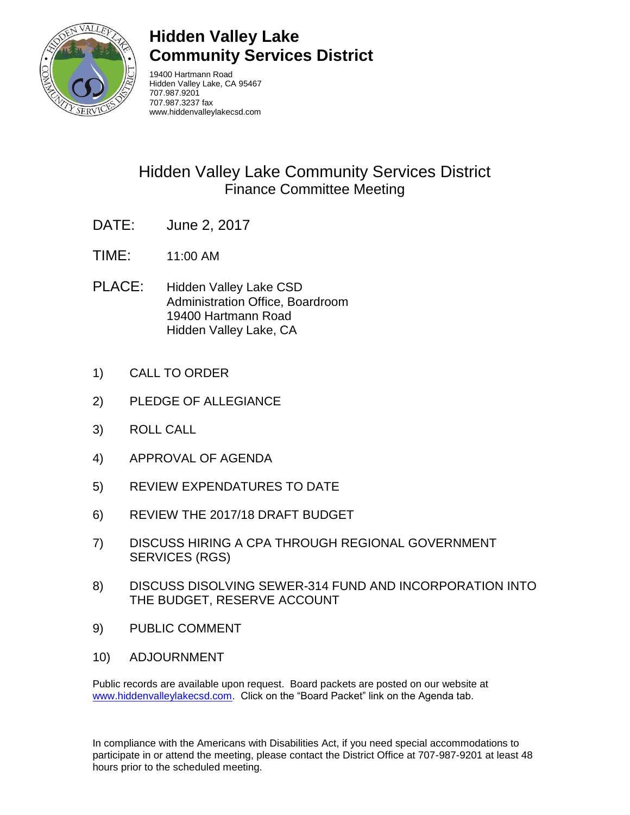

# **Hidden Valley Lake Community Services District**

19400 Hartmann Road Hidden Valley Lake, CA 95467 707.987.9201 707.987.3237 fax www.hiddenvalleylakecsd.com

# Hidden Valley Lake Community Services District Finance Committee Meeting

- DATE: June 2, 2017
- TIME: 11:00 AM
- PLACE: Hidden Valley Lake CSD Administration Office, Boardroom 19400 Hartmann Road Hidden Valley Lake, CA
- 1) CALL TO ORDER
- 2) PLEDGE OF ALLEGIANCE
- 3) ROLL CALL
- 4) APPROVAL OF AGENDA
- 5) REVIEW EXPENDATURES TO DATE
- 6) REVIEW THE 2017/18 DRAFT BUDGET
- 7) DISCUSS HIRING A CPA THROUGH REGIONAL GOVERNMENT SERVICES (RGS)
- 8) DISCUSS DISOLVING SEWER-314 FUND AND INCORPORATION INTO THE BUDGET, RESERVE ACCOUNT
- 9) PUBLIC COMMENT
- 10) ADJOURNMENT

Public records are available upon request. Board packets are posted on our website at [www.hiddenvalleylakecsd.com.](http://www.hiddenvalleylakecsd.com/) Click on the "Board Packet" link on the Agenda tab.

In compliance with the Americans with Disabilities Act, if you need special accommodations to participate in or attend the meeting, please contact the District Office at 707-987-9201 at least 48 hours prior to the scheduled meeting.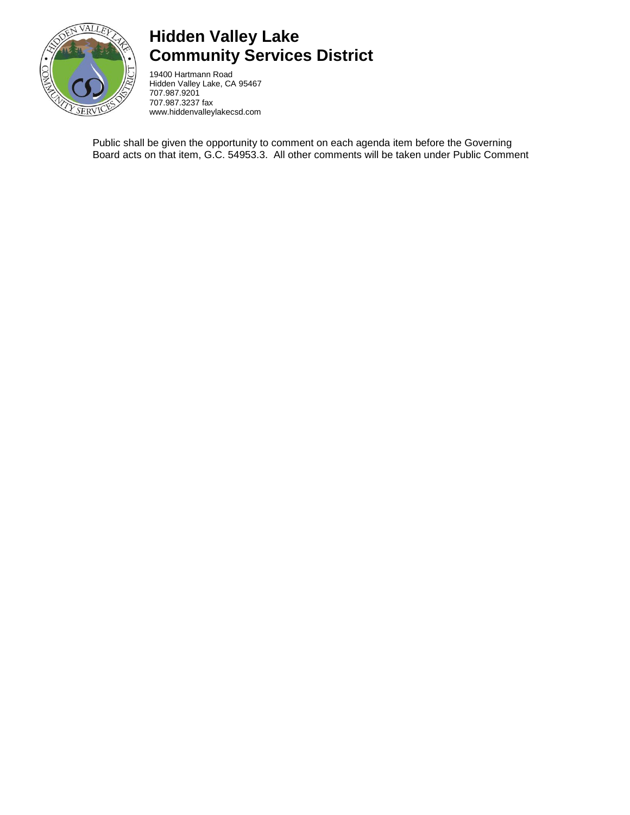

# **Hidden Valley Lake Community Services District**

19400 Hartmann Road Hidden Valley Lake, CA 95467 707.987.9201 707.987.3237 fax www.hiddenvalleylakecsd.com

Public shall be given the opportunity to comment on each agenda item before the Governing Board acts on that item, G.C. 54953.3. All other comments will be taken under Public Comment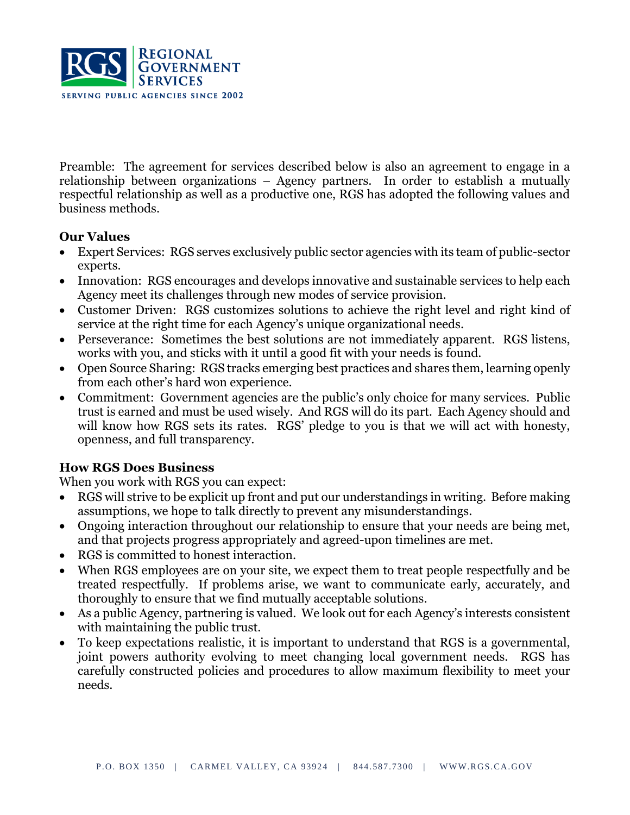

Preamble: The agreement for services described below is also an agreement to engage in a relationship between organizations – Agency partners. In order to establish a mutually respectful relationship as well as a productive one, RGS has adopted the following values and business methods.

#### **Our Values**

- Expert Services: RGS serves exclusively public sector agencies with its team of public-sector experts.
- Innovation: RGS encourages and develops innovative and sustainable services to help each Agency meet its challenges through new modes of service provision.
- Customer Driven: RGS customizes solutions to achieve the right level and right kind of service at the right time for each Agency's unique organizational needs.
- Perseverance: Sometimes the best solutions are not immediately apparent. RGS listens, works with you, and sticks with it until a good fit with your needs is found.
- Open Source Sharing: RGS tracks emerging best practices and shares them, learning openly from each other's hard won experience.
- Commitment: Government agencies are the public's only choice for many services. Public trust is earned and must be used wisely. And RGS will do its part. Each Agency should and will know how RGS sets its rates. RGS' pledge to you is that we will act with honesty, openness, and full transparency.

#### **How RGS Does Business**

When you work with RGS you can expect:

- RGS will strive to be explicit up front and put our understandings in writing. Before making assumptions, we hope to talk directly to prevent any misunderstandings.
- Ongoing interaction throughout our relationship to ensure that your needs are being met, and that projects progress appropriately and agreed-upon timelines are met.
- RGS is committed to honest interaction.
- When RGS employees are on your site, we expect them to treat people respectfully and be treated respectfully. If problems arise, we want to communicate early, accurately, and thoroughly to ensure that we find mutually acceptable solutions.
- As a public Agency, partnering is valued. We look out for each Agency's interests consistent with maintaining the public trust.
- To keep expectations realistic, it is important to understand that RGS is a governmental, joint powers authority evolving to meet changing local government needs. RGS has carefully constructed policies and procedures to allow maximum flexibility to meet your needs.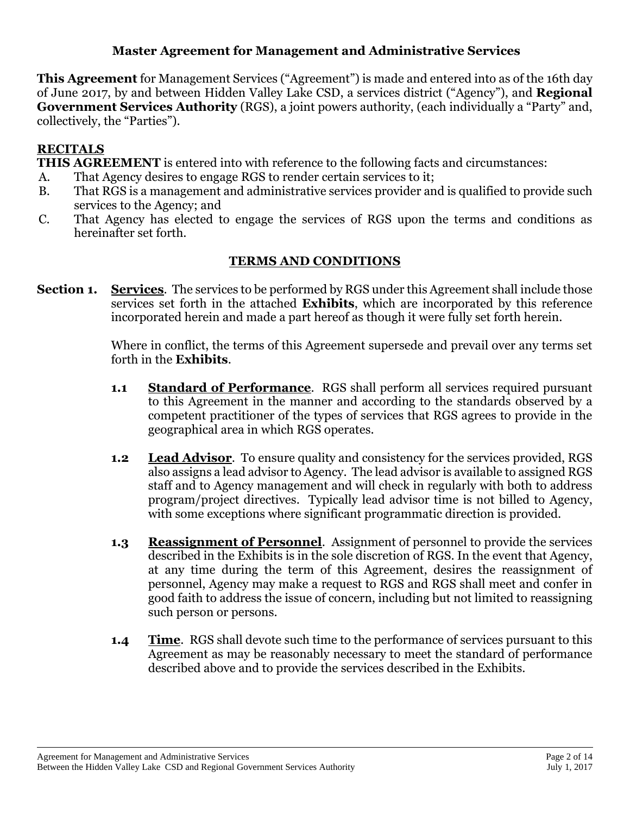### **Master Agreement for Management and Administrative Services**

**This Agreement** for Management Services ("Agreement") is made and entered into as of the 16th day of June 2017, by and between Hidden Valley Lake CSD, a services district ("Agency"), and **Regional Government Services Authority** (RGS), a joint powers authority, (each individually a "Party" and, collectively, the "Parties").

## **RECITALS**

**THIS AGREEMENT** is entered into with reference to the following facts and circumstances:

- A. That Agency desires to engage RGS to render certain services to it;
- B. That RGS is a management and administrative services provider and is qualified to provide such services to the Agency; and
- C. That Agency has elected to engage the services of RGS upon the terms and conditions as hereinafter set forth.

## **TERMS AND CONDITIONS**

**Section 1. Services**. The services to be performed by RGS under this Agreement shall include those services set forth in the attached **Exhibits**, which are incorporated by this reference incorporated herein and made a part hereof as though it were fully set forth herein.

> Where in conflict, the terms of this Agreement supersede and prevail over any terms set forth in the **Exhibits**.

- **1.1 Standard of Performance**. RGS shall perform all services required pursuant to this Agreement in the manner and according to the standards observed by a competent practitioner of the types of services that RGS agrees to provide in the geographical area in which RGS operates.
- **1.2 Lead Advisor**. To ensure quality and consistency for the services provided, RGS also assigns a lead advisor to Agency. The lead advisor is available to assigned RGS staff and to Agency management and will check in regularly with both to address program/project directives. Typically lead advisor time is not billed to Agency, with some exceptions where significant programmatic direction is provided.
- **1.3 Reassignment of Personnel**. Assignment of personnel to provide the services described in the Exhibits is in the sole discretion of RGS. In the event that Agency, at any time during the term of this Agreement, desires the reassignment of personnel, Agency may make a request to RGS and RGS shall meet and confer in good faith to address the issue of concern, including but not limited to reassigning such person or persons.
- **1.4 Time**. RGS shall devote such time to the performance of services pursuant to this Agreement as may be reasonably necessary to meet the standard of performance described above and to provide the services described in the Exhibits.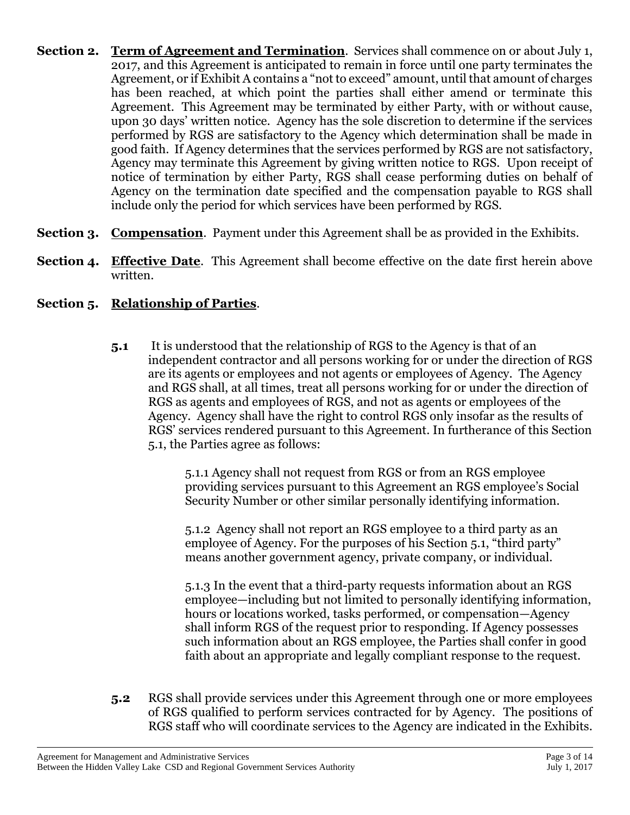- **Section 2. Term of Agreement and Termination**. Services shall commence on or about July 1, 2017, and this Agreement is anticipated to remain in force until one party terminates the Agreement, or if Exhibit A contains a "not to exceed" amount, until that amount of charges has been reached, at which point the parties shall either amend or terminate this Agreement. This Agreement may be terminated by either Party, with or without cause, upon 30 days' written notice. Agency has the sole discretion to determine if the services performed by RGS are satisfactory to the Agency which determination shall be made in good faith. If Agency determines that the services performed by RGS are not satisfactory, Agency may terminate this Agreement by giving written notice to RGS. Upon receipt of notice of termination by either Party, RGS shall cease performing duties on behalf of Agency on the termination date specified and the compensation payable to RGS shall include only the period for which services have been performed by RGS.
- **Section 3. Compensation**. Payment under this Agreement shall be as provided in the Exhibits.
- **Section 4. Effective Date**. This Agreement shall become effective on the date first herein above written.

## **Section 5. Relationship of Parties**.

**5.1** It is understood that the relationship of RGS to the Agency is that of an independent contractor and all persons working for or under the direction of RGS are its agents or employees and not agents or employees of Agency. The Agency and RGS shall, at all times, treat all persons working for or under the direction of RGS as agents and employees of RGS, and not as agents or employees of the Agency. Agency shall have the right to control RGS only insofar as the results of RGS' services rendered pursuant to this Agreement. In furtherance of this Section 5.1, the Parties agree as follows:

> 5.1.1 Agency shall not request from RGS or from an RGS employee providing services pursuant to this Agreement an RGS employee's Social Security Number or other similar personally identifying information.

5.1.2 Agency shall not report an RGS employee to a third party as an employee of Agency. For the purposes of his Section 5.1, "third party" means another government agency, private company, or individual.

5.1.3 In the event that a third-party requests information about an RGS employee—including but not limited to personally identifying information, hours or locations worked, tasks performed, or compensation—Agency shall inform RGS of the request prior to responding. If Agency possesses such information about an RGS employee, the Parties shall confer in good faith about an appropriate and legally compliant response to the request.

**5.2** RGS shall provide services under this Agreement through one or more employees of RGS qualified to perform services contracted for by Agency. The positions of RGS staff who will coordinate services to the Agency are indicated in the Exhibits.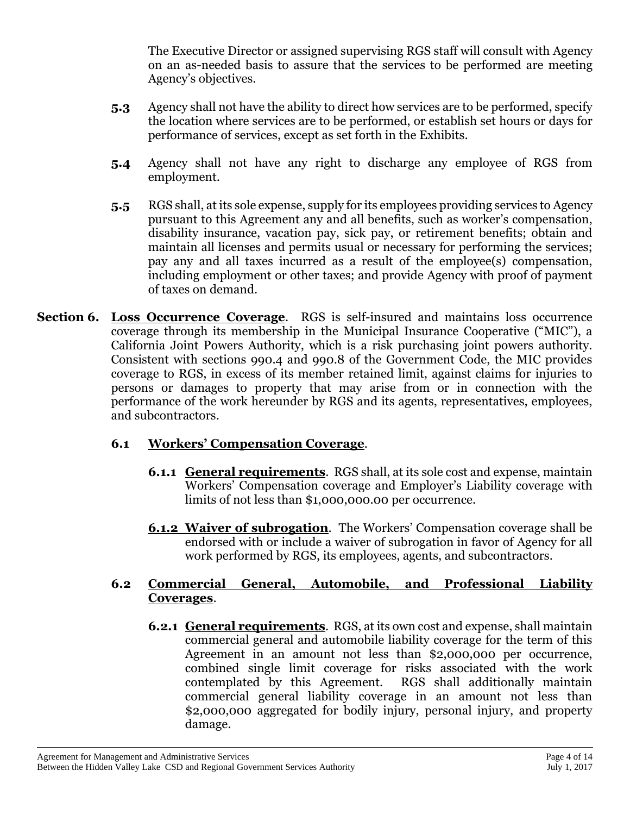The Executive Director or assigned supervising RGS staff will consult with Agency on an as-needed basis to assure that the services to be performed are meeting Agency's objectives.

- **5.3** Agency shall not have the ability to direct how services are to be performed, specify the location where services are to be performed, or establish set hours or days for performance of services, except as set forth in the Exhibits.
- **5.4** Agency shall not have any right to discharge any employee of RGS from employment.
- **5.5** RGS shall, at its sole expense, supply for its employees providing services to Agency pursuant to this Agreement any and all benefits, such as worker's compensation, disability insurance, vacation pay, sick pay, or retirement benefits; obtain and maintain all licenses and permits usual or necessary for performing the services; pay any and all taxes incurred as a result of the employee(s) compensation, including employment or other taxes; and provide Agency with proof of payment of taxes on demand.
- **Section 6. Loss Occurrence Coverage**. RGS is self-insured and maintains loss occurrence coverage through its membership in the Municipal Insurance Cooperative ("MIC"), a California Joint Powers Authority, which is a risk purchasing joint powers authority. Consistent with sections 990.4 and 990.8 of the Government Code, the MIC provides coverage to RGS, in excess of its member retained limit, against claims for injuries to persons or damages to property that may arise from or in connection with the performance of the work hereunder by RGS and its agents, representatives, employees, and subcontractors.

# **6.1 Workers' Compensation Coverage**.

- **6.1.1 General requirements**. RGS shall, at its sole cost and expense, maintain Workers' Compensation coverage and Employer's Liability coverage with limits of not less than \$1,000,000.00 per occurrence.
- **6.1.2 Waiver of subrogation**. The Workers' Compensation coverage shall be endorsed with or include a waiver of subrogation in favor of Agency for all work performed by RGS, its employees, agents, and subcontractors.

#### **6.2 Commercial General, Automobile, and Professional Liability Coverages**.

**6.2.1 General requirements**. RGS, at its own cost and expense, shall maintain commercial general and automobile liability coverage for the term of this Agreement in an amount not less than \$2,000,000 per occurrence, combined single limit coverage for risks associated with the work contemplated by this Agreement. RGS shall additionally maintain commercial general liability coverage in an amount not less than \$2,000,000 aggregated for bodily injury, personal injury, and property damage.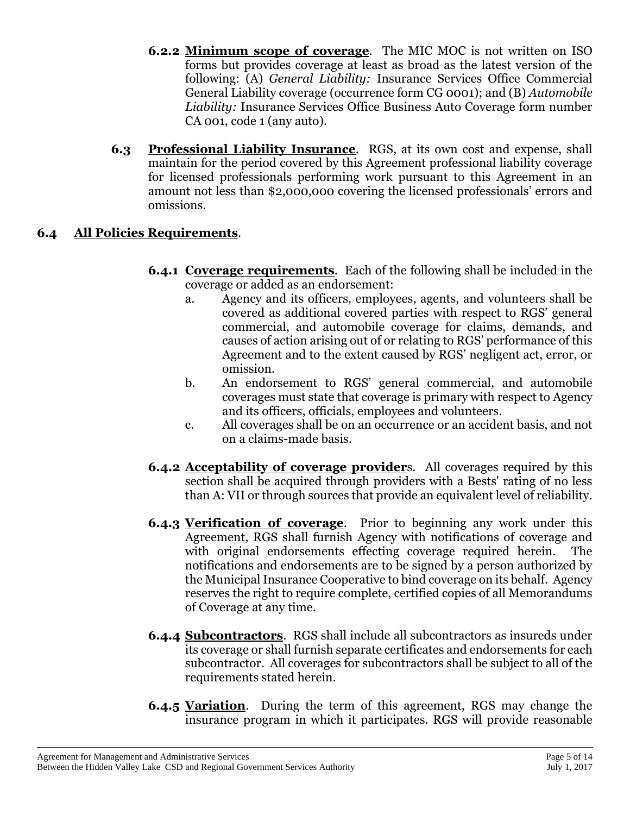- **6.2.2 Minimum scope of coverage**. The MIC MOC is not written on ISO forms but provides coverage at least as broad as the latest version of the following: (A) *General Liability:* Insurance Services Office Commercial General Liability coverage (occurrence form CG 0001); and (B) *Automobile Liability:* Insurance Services Office Business Auto Coverage form number CA 001, code 1 (any auto).
- **6.3 Professional Liability Insurance**. RGS, at its own cost and expense, shall maintain for the period covered by this Agreement professional liability coverage for licensed professionals performing work pursuant to this Agreement in an amount not less than \$2,000,000 covering the licensed professionals' errors and omissions.

# **6.4 All Policies Requirements**.

- **6.4.1 Coverage requirements**. Each of the following shall be included in the coverage or added as an endorsement:
	- a. Agency and its officers, employees, agents, and volunteers shall be covered as additional covered parties with respect to RGS' general commercial, and automobile coverage for claims, demands, and causes of action arising out of or relating to RGS' performance of this Agreement and to the extent caused by RGS' negligent act, error, or omission.
	- b. An endorsement to RGS' general commercial, and automobile coverages must state that coverage is primary with respect to Agency and its officers, officials, employees and volunteers.
	- c. All coverages shall be on an occurrence or an accident basis, and not on a claims-made basis.
- **6.4.2 Acceptability of coverage provider**s. All coverages required by this section shall be acquired through providers with a Bests' rating of no less than A: VII or through sources that provide an equivalent level of reliability.
- **6.4.3 Verification of coverage**. Prior to beginning any work under this Agreement, RGS shall furnish Agency with notifications of coverage and with original endorsements effecting coverage required herein. The notifications and endorsements are to be signed by a person authorized by the Municipal Insurance Cooperative to bind coverage on its behalf. Agency reserves the right to require complete, certified copies of all Memorandums of Coverage at any time.
- **6.4.4 Subcontractors**. RGS shall include all subcontractors as insureds under its coverage or shall furnish separate certificates and endorsements for each subcontractor. All coverages for subcontractors shall be subject to all of the requirements stated herein.
- **6.4.5 Variation**. During the term of this agreement, RGS may change the insurance program in which it participates. RGS will provide reasonable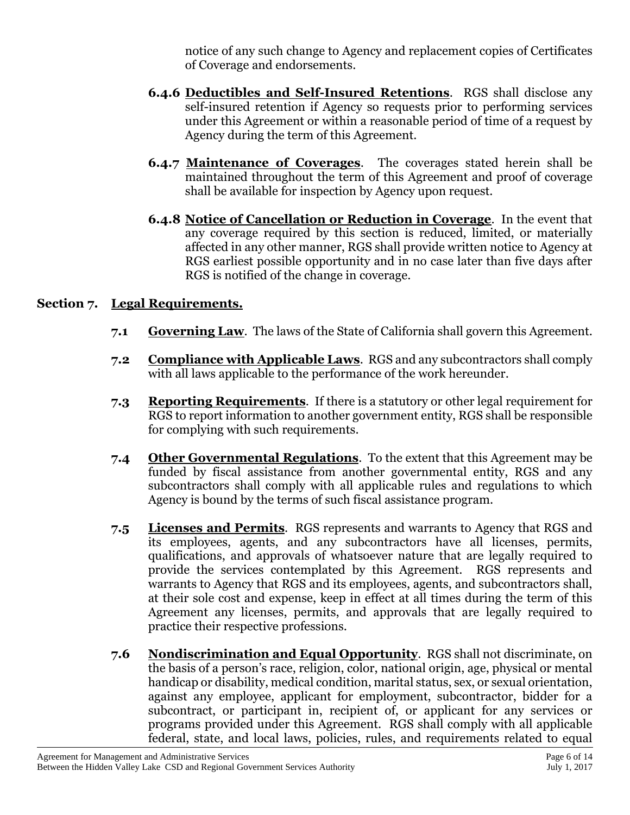notice of any such change to Agency and replacement copies of Certificates of Coverage and endorsements.

- **6.4.6 Deductibles and Self-Insured Retentions**. RGS shall disclose any self-insured retention if Agency so requests prior to performing services under this Agreement or within a reasonable period of time of a request by Agency during the term of this Agreement.
- **6.4.7 Maintenance of Coverages**.The coverages stated herein shall be maintained throughout the term of this Agreement and proof of coverage shall be available for inspection by Agency upon request.
- **6.4.8 Notice of Cancellation or Reduction in Coverage**. In the event that any coverage required by this section is reduced, limited, or materially affected in any other manner, RGS shall provide written notice to Agency at RGS earliest possible opportunity and in no case later than five days after RGS is notified of the change in coverage.

## **Section 7. Legal Requirements.**

- **7.1 Governing Law**. The laws of the State of California shall govern this Agreement.
- **7.2 Compliance with Applicable Laws**. RGS and any subcontractors shall comply with all laws applicable to the performance of the work hereunder.
- **7.3 Reporting Requirements**. If there is a statutory or other legal requirement for RGS to report information to another government entity, RGS shall be responsible for complying with such requirements.
- **7.4 Other Governmental Regulations**. To the extent that this Agreement may be funded by fiscal assistance from another governmental entity, RGS and any subcontractors shall comply with all applicable rules and regulations to which Agency is bound by the terms of such fiscal assistance program.
- **7.5 Licenses and Permits**. RGS represents and warrants to Agency that RGS and its employees, agents, and any subcontractors have all licenses, permits, qualifications, and approvals of whatsoever nature that are legally required to provide the services contemplated by this Agreement. RGS represents and warrants to Agency that RGS and its employees, agents, and subcontractors shall, at their sole cost and expense, keep in effect at all times during the term of this Agreement any licenses, permits, and approvals that are legally required to practice their respective professions.
- **7.6 Nondiscrimination and Equal Opportunity**. RGS shall not discriminate, on the basis of a person's race, religion, color, national origin, age, physical or mental handicap or disability, medical condition, marital status, sex, or sexual orientation, against any employee, applicant for employment, subcontractor, bidder for a subcontract, or participant in, recipient of, or applicant for any services or programs provided under this Agreement. RGS shall comply with all applicable federal, state, and local laws, policies, rules, and requirements related to equal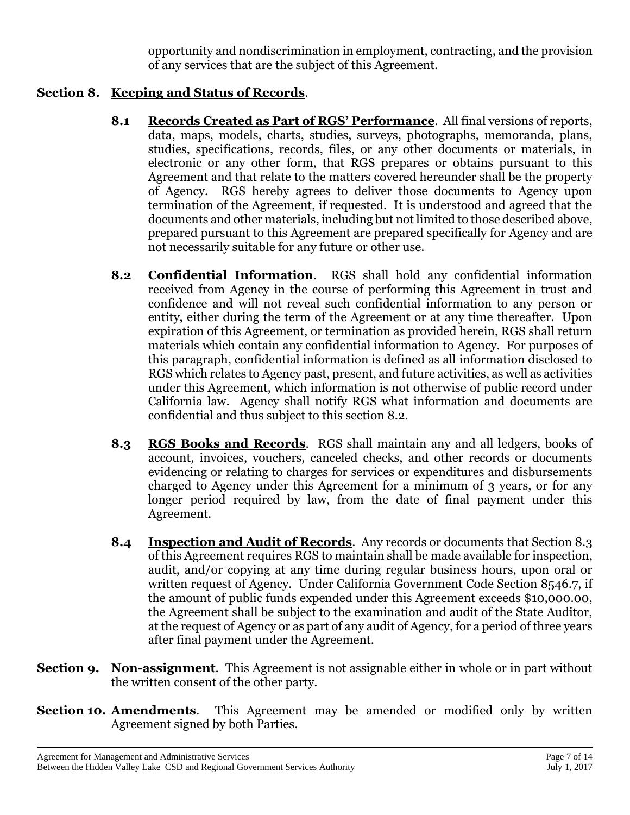opportunity and nondiscrimination in employment, contracting, and the provision of any services that are the subject of this Agreement.

## **Section 8. Keeping and Status of Records**.

- **8.1 Records Created as Part of RGS' Performance**. All final versions of reports, data, maps, models, charts, studies, surveys, photographs, memoranda, plans, studies, specifications, records, files, or any other documents or materials, in electronic or any other form, that RGS prepares or obtains pursuant to this Agreement and that relate to the matters covered hereunder shall be the property of Agency. RGS hereby agrees to deliver those documents to Agency upon termination of the Agreement, if requested. It is understood and agreed that the documents and other materials, including but not limited to those described above, prepared pursuant to this Agreement are prepared specifically for Agency and are not necessarily suitable for any future or other use.
- **8.2 Confidential Information**. RGS shall hold any confidential information received from Agency in the course of performing this Agreement in trust and confidence and will not reveal such confidential information to any person or entity, either during the term of the Agreement or at any time thereafter. Upon expiration of this Agreement, or termination as provided herein, RGS shall return materials which contain any confidential information to Agency. For purposes of this paragraph, confidential information is defined as all information disclosed to RGS which relates to Agency past, present, and future activities, as well as activities under this Agreement, which information is not otherwise of public record under California law. Agency shall notify RGS what information and documents are confidential and thus subject to this section 8.2.
- **8.3 RGS Books and Records**. RGS shall maintain any and all ledgers, books of account, invoices, vouchers, canceled checks, and other records or documents evidencing or relating to charges for services or expenditures and disbursements charged to Agency under this Agreement for a minimum of 3 years, or for any longer period required by law, from the date of final payment under this Agreement.
- **8.4 Inspection and Audit of Records**. Any records or documents that Section 8.3 of this Agreement requires RGS to maintain shall be made available for inspection, audit, and/or copying at any time during regular business hours, upon oral or written request of Agency. Under California Government Code Section 8546.7, if the amount of public funds expended under this Agreement exceeds \$10,000.00, the Agreement shall be subject to the examination and audit of the State Auditor, at the request of Agency or as part of any audit of Agency, for a period of three years after final payment under the Agreement.
- **Section 9. Non-assignment**. This Agreement is not assignable either in whole or in part without the written consent of the other party.
- **Section 10. Amendments**. This Agreement may be amended or modified only by written Agreement signed by both Parties.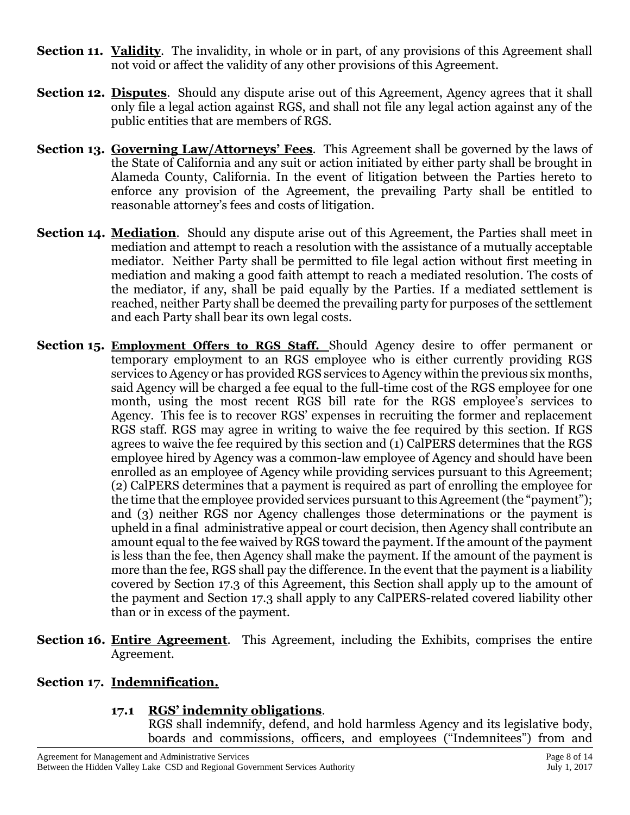- **Section 11. Validity.** The invalidity, in whole or in part, of any provisions of this Agreement shall not void or affect the validity of any other provisions of this Agreement.
- **Section 12. Disputes.** Should any dispute arise out of this Agreement, Agency agrees that it shall only file a legal action against RGS, and shall not file any legal action against any of the public entities that are members of RGS.
- **Section 13. Governing Law/Attorneys' Fees**. This Agreement shall be governed by the laws of the State of California and any suit or action initiated by either party shall be brought in Alameda County, California. In the event of litigation between the Parties hereto to enforce any provision of the Agreement, the prevailing Party shall be entitled to reasonable attorney's fees and costs of litigation.
- **Section 14. Mediation**. Should any dispute arise out of this Agreement, the Parties shall meet in mediation and attempt to reach a resolution with the assistance of a mutually acceptable mediator. Neither Party shall be permitted to file legal action without first meeting in mediation and making a good faith attempt to reach a mediated resolution. The costs of the mediator, if any, shall be paid equally by the Parties. If a mediated settlement is reached, neither Party shall be deemed the prevailing party for purposes of the settlement and each Party shall bear its own legal costs.
- **Section 15. Employment Offers to RGS Staff.** Should Agency desire to offer permanent or temporary employment to an RGS employee who is either currently providing RGS services to Agency or has provided RGS services to Agency within the previous six months, said Agency will be charged a fee equal to the full-time cost of the RGS employee for one month, using the most recent RGS bill rate for the RGS employee's services to Agency. This fee is to recover RGS' expenses in recruiting the former and replacement RGS staff. RGS may agree in writing to waive the fee required by this section. If RGS agrees to waive the fee required by this section and (1) CalPERS determines that the RGS employee hired by Agency was a common-law employee of Agency and should have been enrolled as an employee of Agency while providing services pursuant to this Agreement; (2) CalPERS determines that a payment is required as part of enrolling the employee for the time that the employee provided services pursuant to this Agreement (the "payment"); and (3) neither RGS nor Agency challenges those determinations or the payment is upheld in a final administrative appeal or court decision, then Agency shall contribute an amount equal to the fee waived by RGS toward the payment. If the amount of the payment is less than the fee, then Agency shall make the payment. If the amount of the payment is more than the fee, RGS shall pay the difference. In the event that the payment is a liability covered by Section 17.3 of this Agreement, this Section shall apply up to the amount of the payment and Section 17.3 shall apply to any CalPERS-related covered liability other than or in excess of the payment.
- **Section 16. Entire Agreement**. This Agreement, including the Exhibits, comprises the entire Agreement.

#### **Section 17. Indemnification.**

#### **17.1 RGS' indemnity obligations**.

RGS shall indemnify, defend, and hold harmless Agency and its legislative body, boards and commissions, officers, and employees ("Indemnitees") from and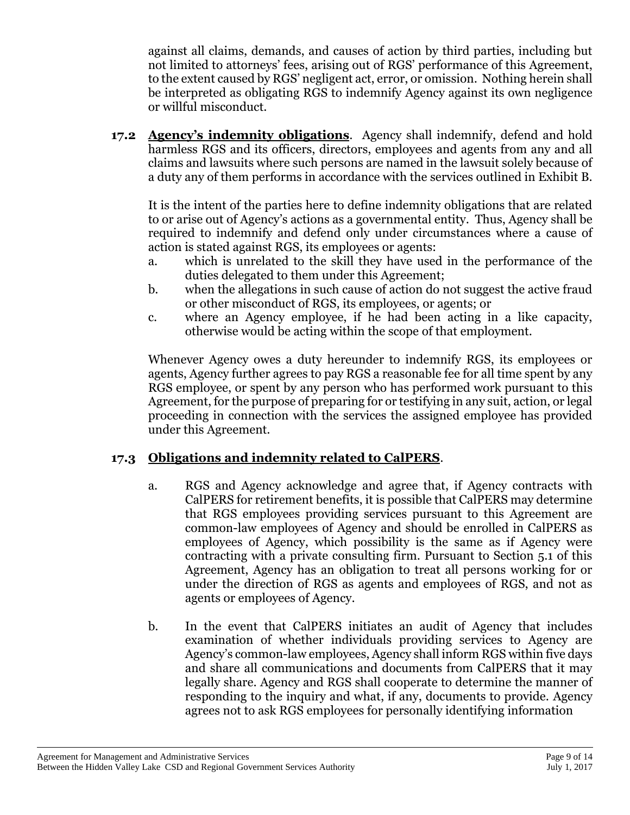against all claims, demands, and causes of action by third parties, including but not limited to attorneys' fees, arising out of RGS' performance of this Agreement, to the extent caused by RGS' negligent act, error, or omission. Nothing herein shall be interpreted as obligating RGS to indemnify Agency against its own negligence or willful misconduct.

**17.2 Agency's indemnity obligations**. Agency shall indemnify, defend and hold harmless RGS and its officers, directors, employees and agents from any and all claims and lawsuits where such persons are named in the lawsuit solely because of a duty any of them performs in accordance with the services outlined in Exhibit B.

It is the intent of the parties here to define indemnity obligations that are related to or arise out of Agency's actions as a governmental entity. Thus, Agency shall be required to indemnify and defend only under circumstances where a cause of action is stated against RGS, its employees or agents:

- a. which is unrelated to the skill they have used in the performance of the duties delegated to them under this Agreement;
- b. when the allegations in such cause of action do not suggest the active fraud or other misconduct of RGS, its employees, or agents; or
- c. where an Agency employee, if he had been acting in a like capacity, otherwise would be acting within the scope of that employment.

Whenever Agency owes a duty hereunder to indemnify RGS, its employees or agents, Agency further agrees to pay RGS a reasonable fee for all time spent by any RGS employee, or spent by any person who has performed work pursuant to this Agreement, for the purpose of preparing for or testifying in any suit, action, or legal proceeding in connection with the services the assigned employee has provided under this Agreement.

# **17.3 Obligations and indemnity related to CalPERS**.

- a. RGS and Agency acknowledge and agree that, if Agency contracts with CalPERS for retirement benefits, it is possible that CalPERS may determine that RGS employees providing services pursuant to this Agreement are common-law employees of Agency and should be enrolled in CalPERS as employees of Agency, which possibility is the same as if Agency were contracting with a private consulting firm. Pursuant to Section 5.1 of this Agreement, Agency has an obligation to treat all persons working for or under the direction of RGS as agents and employees of RGS, and not as agents or employees of Agency.
- b. In the event that CalPERS initiates an audit of Agency that includes examination of whether individuals providing services to Agency are Agency's common-law employees, Agency shall inform RGS within five days and share all communications and documents from CalPERS that it may legally share. Agency and RGS shall cooperate to determine the manner of responding to the inquiry and what, if any, documents to provide. Agency agrees not to ask RGS employees for personally identifying information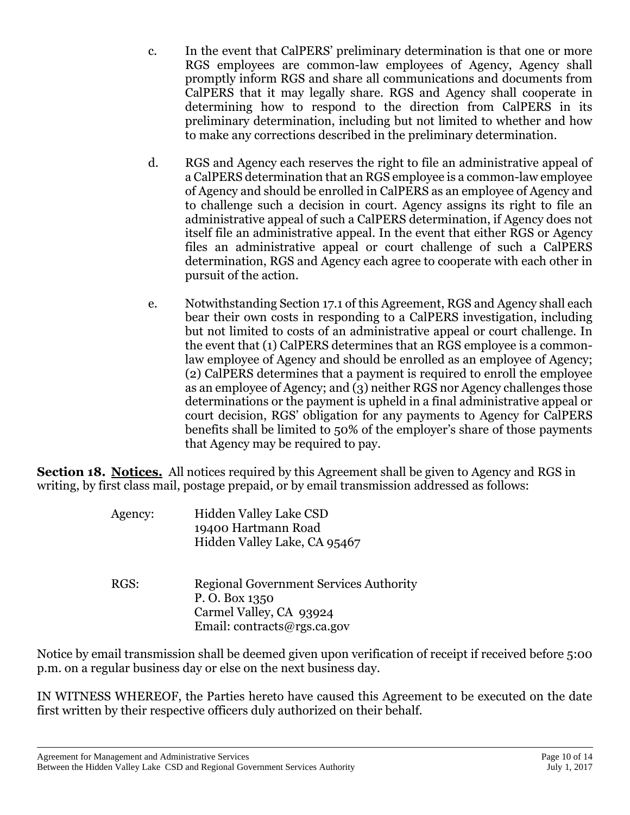- c. In the event that CalPERS' preliminary determination is that one or more RGS employees are common-law employees of Agency, Agency shall promptly inform RGS and share all communications and documents from CalPERS that it may legally share. RGS and Agency shall cooperate in determining how to respond to the direction from CalPERS in its preliminary determination, including but not limited to whether and how to make any corrections described in the preliminary determination.
- d. RGS and Agency each reserves the right to file an administrative appeal of a CalPERS determination that an RGS employee is a common-law employee of Agency and should be enrolled in CalPERS as an employee of Agency and to challenge such a decision in court. Agency assigns its right to file an administrative appeal of such a CalPERS determination, if Agency does not itself file an administrative appeal. In the event that either RGS or Agency files an administrative appeal or court challenge of such a CalPERS determination, RGS and Agency each agree to cooperate with each other in pursuit of the action.
- e. Notwithstanding Section 17.1 of this Agreement, RGS and Agency shall each bear their own costs in responding to a CalPERS investigation, including but not limited to costs of an administrative appeal or court challenge. In the event that (1) CalPERS determines that an RGS employee is a commonlaw employee of Agency and should be enrolled as an employee of Agency; (2) CalPERS determines that a payment is required to enroll the employee as an employee of Agency; and (3) neither RGS nor Agency challenges those determinations or the payment is upheld in a final administrative appeal or court decision, RGS' obligation for any payments to Agency for CalPERS benefits shall be limited to 50% of the employer's share of those payments that Agency may be required to pay.

**Section 18. Notices.** All notices required by this Agreement shall be given to Agency and RGS in writing, by first class mail, postage prepaid, or by email transmission addressed as follows:

| Agency: | Hidden Valley Lake CSD<br>19400 Hartmann Road<br>Hidden Valley Lake, CA 95467                                            |
|---------|--------------------------------------------------------------------------------------------------------------------------|
| RGS:    | <b>Regional Government Services Authority</b><br>P.O. Box 1350<br>Carmel Valley, CA 93924<br>Email: contracts@rgs.ca.gov |

Notice by email transmission shall be deemed given upon verification of receipt if received before 5:00 p.m. on a regular business day or else on the next business day.

IN WITNESS WHEREOF, the Parties hereto have caused this Agreement to be executed on the date first written by their respective officers duly authorized on their behalf.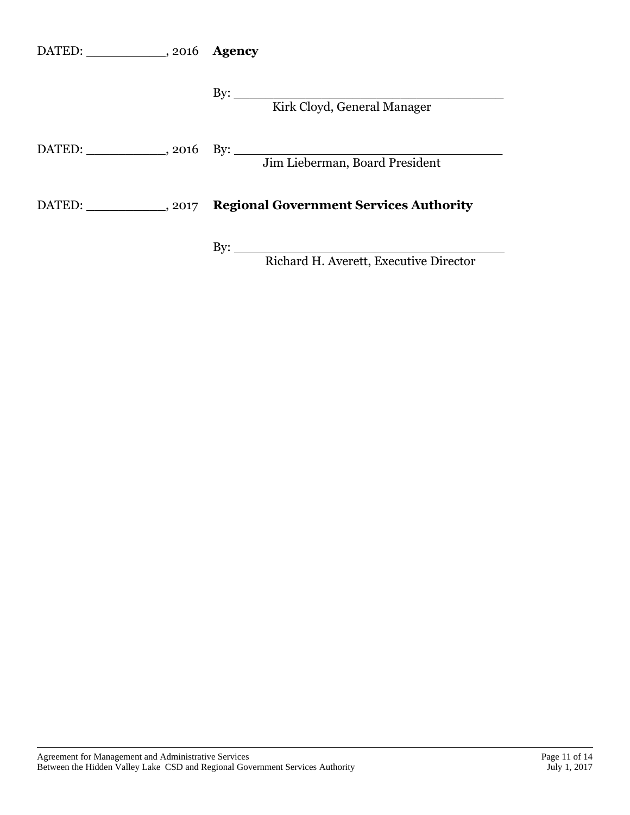| DATED: ______________, 2016 Agency |                                                                        |
|------------------------------------|------------------------------------------------------------------------|
|                                    | Kirk Cloyd, General Manager                                            |
|                                    | Jim Lieberman, Board President                                         |
|                                    | DATED: ____________, 2017 Regional Government Services Authority       |
|                                    | By: $\overline{\phantom{a}}$<br>Richard H. Averett, Executive Director |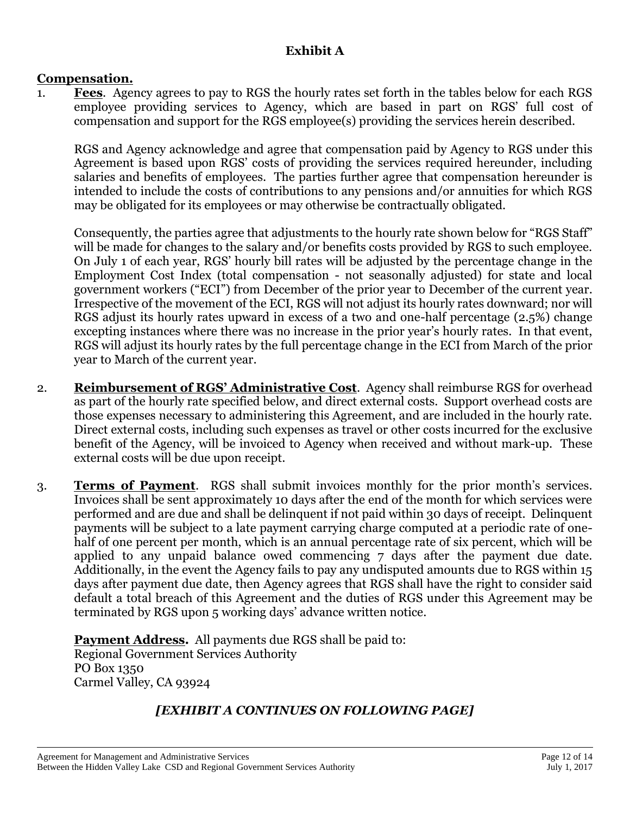# **Exhibit A**

#### **Compensation.**

1. **Fees**. Agency agrees to pay to RGS the hourly rates set forth in the tables below for each RGS employee providing services to Agency, which are based in part on RGS' full cost of compensation and support for the RGS employee(s) providing the services herein described.

RGS and Agency acknowledge and agree that compensation paid by Agency to RGS under this Agreement is based upon RGS' costs of providing the services required hereunder, including salaries and benefits of employees. The parties further agree that compensation hereunder is intended to include the costs of contributions to any pensions and/or annuities for which RGS may be obligated for its employees or may otherwise be contractually obligated.

Consequently, the parties agree that adjustments to the hourly rate shown below for "RGS Staff" will be made for changes to the salary and/or benefits costs provided by RGS to such employee. On July 1 of each year, RGS' hourly bill rates will be adjusted by the percentage change in the Employment Cost Index (total compensation - not seasonally adjusted) for state and local government workers ("ECI") from December of the prior year to December of the current year. Irrespective of the movement of the ECI, RGS will not adjust its hourly rates downward; nor will RGS adjust its hourly rates upward in excess of a two and one-half percentage (2.5%) change excepting instances where there was no increase in the prior year's hourly rates. In that event, RGS will adjust its hourly rates by the full percentage change in the ECI from March of the prior year to March of the current year.

- 2. **Reimbursement of RGS' Administrative Cost**. Agency shall reimburse RGS for overhead as part of the hourly rate specified below, and direct external costs. Support overhead costs are those expenses necessary to administering this Agreement, and are included in the hourly rate. Direct external costs, including such expenses as travel or other costs incurred for the exclusive benefit of the Agency, will be invoiced to Agency when received and without mark-up. These external costs will be due upon receipt.
- 3. **Terms of Payment**. RGS shall submit invoices monthly for the prior month's services. Invoices shall be sent approximately 10 days after the end of the month for which services were performed and are due and shall be delinquent if not paid within 30 days of receipt. Delinquent payments will be subject to a late payment carrying charge computed at a periodic rate of onehalf of one percent per month, which is an annual percentage rate of six percent, which will be applied to any unpaid balance owed commencing 7 days after the payment due date. Additionally, in the event the Agency fails to pay any undisputed amounts due to RGS within 15 days after payment due date, then Agency agrees that RGS shall have the right to consider said default a total breach of this Agreement and the duties of RGS under this Agreement may be terminated by RGS upon 5 working days' advance written notice.

**Payment Address.** All payments due RGS shall be paid to: Regional Government Services Authority PO Box 1350 Carmel Valley, CA 93924

# *[EXHIBIT A CONTINUES ON FOLLOWING PAGE]*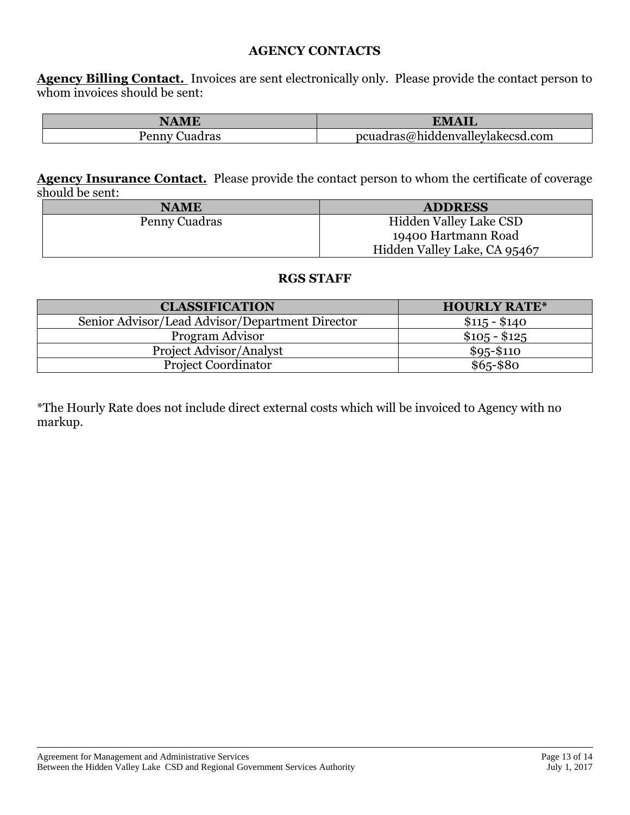#### **AGENCY CONTACTS**

**Agency Billing Contact.** Invoices are sent electronically only. Please provide the contact person to whom invoices should be sent:

| NAME              | <b>.</b><br>VI.                  |
|-------------------|----------------------------------|
| uadras<br>penny : | pcuadras@hiddenvalleylakecsd.com |

**Agency Insurance Contact.** Please provide the contact person to whom the certificate of coverage should be sent:

| <b>NAME</b>   | <b>ADDRESS</b>               |
|---------------|------------------------------|
| Penny Cuadras | Hidden Valley Lake CSD       |
|               | 19400 Hartmann Road          |
|               | Hidden Valley Lake, CA 95467 |

#### **RGS STAFF**

| <b>CLASSIFICATION</b>                           | <b>HOURLY RATE*</b> |
|-------------------------------------------------|---------------------|
| Senior Advisor/Lead Advisor/Department Director | $$115 - $140$       |
| Program Advisor                                 | $$105 - $125$       |
| <b>Project Advisor/Analyst</b>                  | $$95 - $110$        |
| <b>Project Coordinator</b>                      | $$65 - $80$         |

\*The Hourly Rate does not include direct external costs which will be invoiced to Agency with no markup.